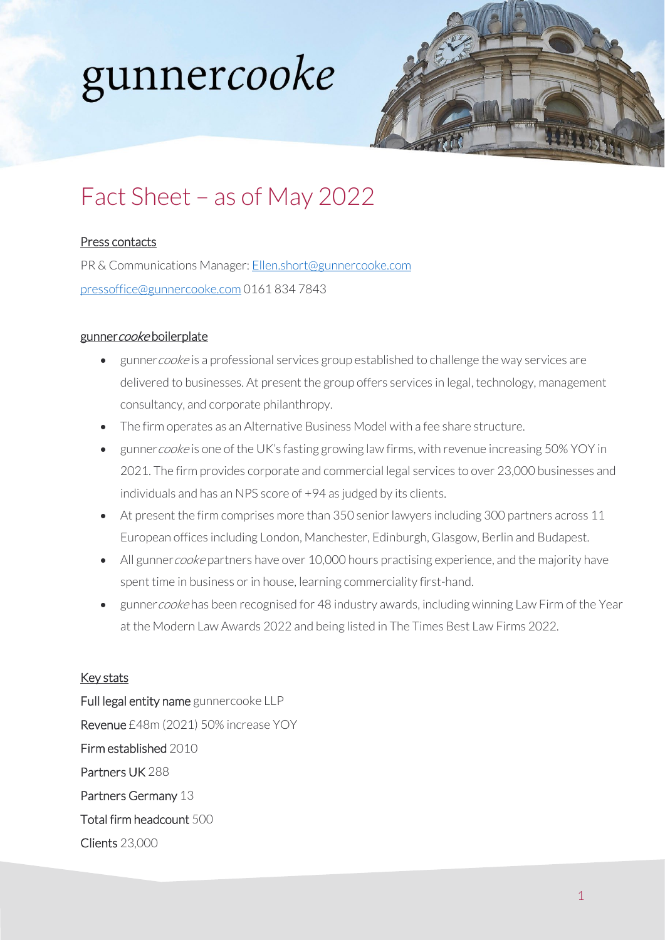# gunnercooke



# Fact Sheet – as of May 2022

# Press contacts

PR & Communications Manager[: Ellen.short@gunnercooke.com](mailto:Ellen.short@gunnercooke.com)  [pressoffice@gunnercooke.com](mailto:pressoffice@gunnercooke.com) 0161 834 7843

### gunnercooke boilerplate

- gunner *cooke* is a professional services group established to challenge the way services are delivered to businesses. At present the group offers services in legal, technology, management consultancy, and corporate philanthropy.
- The firm operates as an Alternative Business Model with a fee share structure.
- gunner *cooke* is one of the UK's fasting growing law firms, with revenue increasing 50% YOY in 2021. The firm provides corporate and commercial legal services to over 23,000 businesses and individuals and has an NPS score of +94 as judged by its clients.
- At present the firm comprises more than 350 senior lawyers including 300 partners across 11 European offices including London, Manchester, Edinburgh, Glasgow, Berlin and Budapest.
- All gunner *cooke* partners have over 10,000 hours practising experience, and the majority have spent time in business or in house, learning commerciality first-hand.
- gunner cooke has been recognised for 48 industry awards, including winning Law Firm of the Year at the Modern Law Awards 2022 and being listed in The Times Best Law Firms 2022.

# Key stats

Full legal entity name gunnercooke LLP Revenue £48m (2021) 50% increase YOY Firm established 2010 Partners UK 288 Partners Germany 13 Total firm headcount 500 Clients 23,000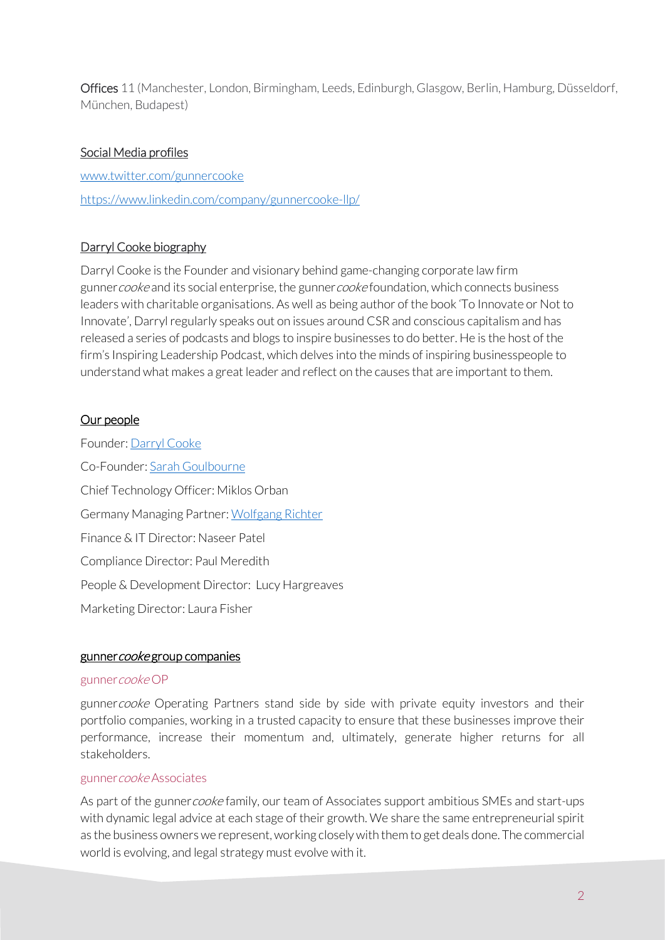Offices 11 (Manchester, London, Birmingham, Leeds, Edinburgh, Glasgow, Berlin, Hamburg, Düsseldorf, München, Budapest)

# Social Media profiles

[www.twitter.com/gunnercooke](http://www.twitter.com/gunnercooke) <https://www.linkedin.com/company/gunnercooke-llp/>

# Darryl Cooke biography

Darryl Cooke is the Founder and visionary behind game-changing corporate law firm gunner *cooke* and its social enterprise, the gunner *cooke* foundation, which connects business leaders with charitable organisations. As well as being author of the book 'To Innovate or Not to Innovate', Darryl regularly speaks out on issues around CSR and conscious capitalism and has released a series of podcasts and blogs to inspire businesses to do better. He is the host of the firm's Inspiring Leadership Podcast, which delves into the minds of inspiring businesspeople to understand what makes a great leader and reflect on the causes that are important to them.

# Our people

Founder: [Darryl Cooke](https://gunnercooke.com/people/darryl-cooke/) Co-Founder[: Sarah Goulbourne](https://gunnercooke.com/people/sarah-goulbourne/) Chief Technology Officer: Miklos Orban Germany Managing Partner[: Wolfgang Richter](https://gunnercooke.com/people/wolfgang-richter/)  Finance & IT Director: Naseer Patel Compliance Director: Paul Meredith People & Development Director: Lucy Hargreaves Marketing Director: Laura Fisher

### gunner cooke group companies

### gunner cooke OP

gunnercooke Operating Partners stand side by side with private equity investors and their portfolio companies, working in a trusted capacity to ensure that these businesses improve their performance, increase their momentum and, ultimately, generate higher returns for all stakeholders.

### gunner *cooke* Associates

As part of the gunner *cooke* family, our team of Associates support ambitious SMEs and start-ups with dynamic legal advice at each stage of their growth. We share the same entrepreneurial spirit as the business owners we represent, working closely with them to get deals done. The commercial world is evolving, and legal strategy must evolve with it.